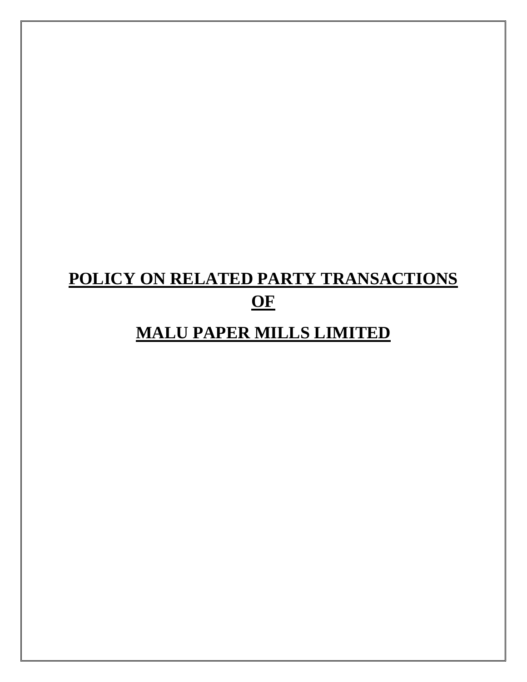# **POLICY ON RELATED PARTY TRANSACTIONS OF**

# **MALU PAPER MILLS LIMITED**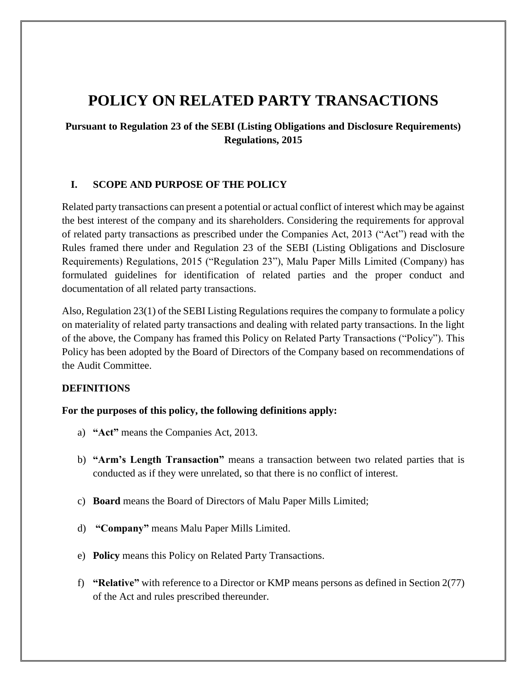# **POLICY ON RELATED PARTY TRANSACTIONS**

# **Pursuant to Regulation 23 of the SEBI (Listing Obligations and Disclosure Requirements) Regulations, 2015**

### **I. SCOPE AND PURPOSE OF THE POLICY**

Related party transactions can present a potential or actual conflict of interest which may be against the best interest of the company and its shareholders. Considering the requirements for approval of related party transactions as prescribed under the Companies Act, 2013 ("Act") read with the Rules framed there under and Regulation 23 of the SEBI (Listing Obligations and Disclosure Requirements) Regulations, 2015 ("Regulation 23"), Malu Paper Mills Limited (Company) has formulated guidelines for identification of related parties and the proper conduct and documentation of all related party transactions.

Also, Regulation 23(1) of the SEBI Listing Regulations requires the company to formulate a policy on materiality of related party transactions and dealing with related party transactions. In the light of the above, the Company has framed this Policy on Related Party Transactions ("Policy"). This Policy has been adopted by the Board of Directors of the Company based on recommendations of the Audit Committee.

#### **DEFINITIONS**

#### **For the purposes of this policy, the following definitions apply:**

- a) **"Act"** means the Companies Act, 2013.
- b) **"Arm's Length Transaction"** means a transaction between two related parties that is conducted as if they were unrelated, so that there is no conflict of interest.
- c) **Board** means the Board of Directors of Malu Paper Mills Limited;
- d) **"Company"** means Malu Paper Mills Limited.
- e) **Policy** means this Policy on Related Party Transactions.
- f) **"Relative"** with reference to a Director or KMP means persons as defined in Section 2(77) of the Act and rules prescribed thereunder.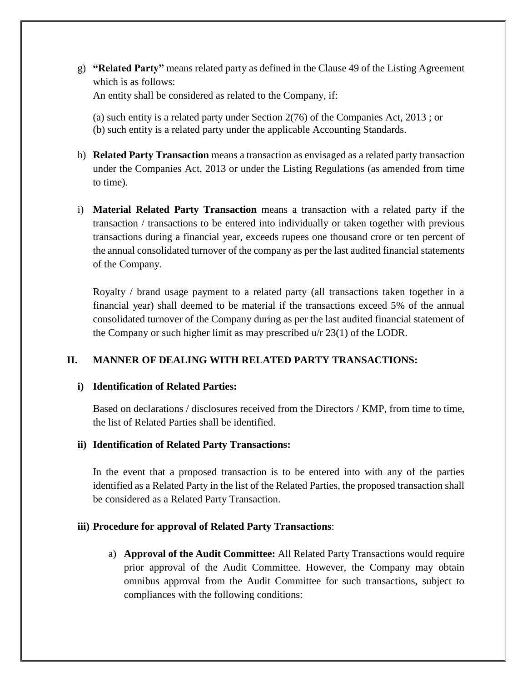- g) **"Related Party"** means related party as defined in the Clause 49 of the Listing Agreement which is as follows: An entity shall be considered as related to the Company, if:
	- (a) such entity is a related party under Section 2(76) of the Companies Act, 2013 ; or (b) such entity is a related party under the applicable Accounting Standards.
- h) **Related Party Transaction** means a transaction as envisaged as a related party transaction under the Companies Act, 2013 or under the Listing Regulations (as amended from time to time).
- i) **Material Related Party Transaction** means a transaction with a related party if the transaction / transactions to be entered into individually or taken together with previous transactions during a financial year, exceeds rupees one thousand crore or ten percent of the annual consolidated turnover of the company as per the last audited financial statements of the Company.

Royalty / brand usage payment to a related party (all transactions taken together in a financial year) shall deemed to be material if the transactions exceed 5% of the annual consolidated turnover of the Company during as per the last audited financial statement of the Company or such higher limit as may prescribed u/r 23(1) of the LODR.

# **II. MANNER OF DEALING WITH RELATED PARTY TRANSACTIONS:**

# **i) Identification of Related Parties:**

Based on declarations / disclosures received from the Directors / KMP, from time to time, the list of Related Parties shall be identified.

# **ii) Identification of Related Party Transactions:**

In the event that a proposed transaction is to be entered into with any of the parties identified as a Related Party in the list of the Related Parties, the proposed transaction shall be considered as a Related Party Transaction.

# **iii) Procedure for approval of Related Party Transactions**:

a) **Approval of the Audit Committee:** All Related Party Transactions would require prior approval of the Audit Committee. However, the Company may obtain omnibus approval from the Audit Committee for such transactions, subject to compliances with the following conditions: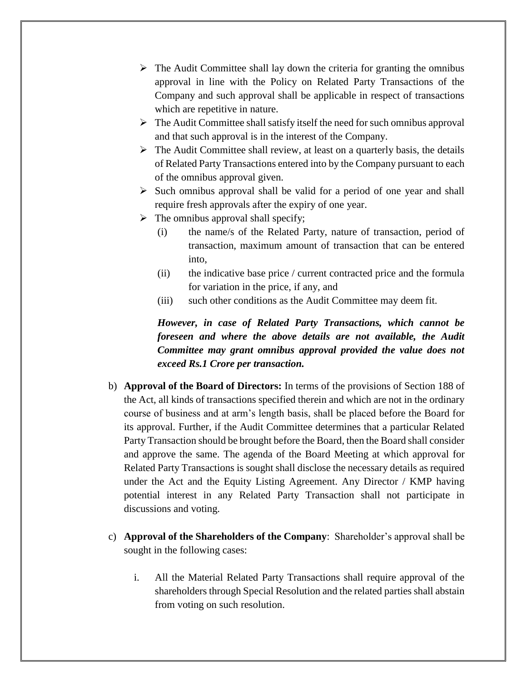- $\triangleright$  The Audit Committee shall lay down the criteria for granting the omnibus approval in line with the Policy on Related Party Transactions of the Company and such approval shall be applicable in respect of transactions which are repetitive in nature.
- $\triangleright$  The Audit Committee shall satisfy itself the need for such omnibus approval and that such approval is in the interest of the Company.
- $\triangleright$  The Audit Committee shall review, at least on a quarterly basis, the details of Related Party Transactions entered into by the Company pursuant to each of the omnibus approval given.
- $\triangleright$  Such omnibus approval shall be valid for a period of one year and shall require fresh approvals after the expiry of one year.
- $\triangleright$  The omnibus approval shall specify;
	- (i) the name/s of the Related Party, nature of transaction, period of transaction, maximum amount of transaction that can be entered into,
	- (ii) the indicative base price / current contracted price and the formula for variation in the price, if any, and
	- (iii) such other conditions as the Audit Committee may deem fit.

*However, in case of Related Party Transactions, which cannot be foreseen and where the above details are not available, the Audit Committee may grant omnibus approval provided the value does not exceed Rs.1 Crore per transaction.* 

- b) **Approval of the Board of Directors:** In terms of the provisions of Section 188 of the Act, all kinds of transactions specified therein and which are not in the ordinary course of business and at arm's length basis, shall be placed before the Board for its approval. Further, if the Audit Committee determines that a particular Related Party Transaction should be brought before the Board, then the Board shall consider and approve the same. The agenda of the Board Meeting at which approval for Related Party Transactions is sought shall disclose the necessary details as required under the Act and the Equity Listing Agreement. Any Director / KMP having potential interest in any Related Party Transaction shall not participate in discussions and voting.
- c) **Approval of the Shareholders of the Company**: Shareholder's approval shall be sought in the following cases:
	- i. All the Material Related Party Transactions shall require approval of the shareholders through Special Resolution and the related parties shall abstain from voting on such resolution.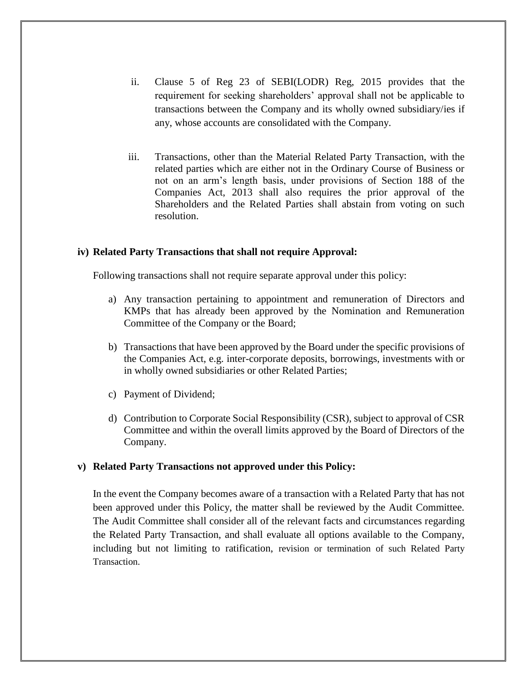- ii. Clause 5 of Reg 23 of SEBI(LODR) Reg, 2015 provides that the requirement for seeking shareholders' approval shall not be applicable to transactions between the Company and its wholly owned subsidiary/ies if any, whose accounts are consolidated with the Company.
- iii. Transactions, other than the Material Related Party Transaction, with the related parties which are either not in the Ordinary Course of Business or not on an arm's length basis, under provisions of Section 188 of the Companies Act, 2013 shall also requires the prior approval of the Shareholders and the Related Parties shall abstain from voting on such resolution.

#### **iv) Related Party Transactions that shall not require Approval:**

Following transactions shall not require separate approval under this policy:

- a) Any transaction pertaining to appointment and remuneration of Directors and KMPs that has already been approved by the Nomination and Remuneration Committee of the Company or the Board;
- b) Transactions that have been approved by the Board under the specific provisions of the Companies Act, e.g. inter-corporate deposits, borrowings, investments with or in wholly owned subsidiaries or other Related Parties;
- c) Payment of Dividend;
- d) Contribution to Corporate Social Responsibility (CSR), subject to approval of CSR Committee and within the overall limits approved by the Board of Directors of the Company.

#### **v) Related Party Transactions not approved under this Policy:**

In the event the Company becomes aware of a transaction with a Related Party that has not been approved under this Policy, the matter shall be reviewed by the Audit Committee. The Audit Committee shall consider all of the relevant facts and circumstances regarding the Related Party Transaction, and shall evaluate all options available to the Company, including but not limiting to ratification, revision or termination of such Related Party **Transaction**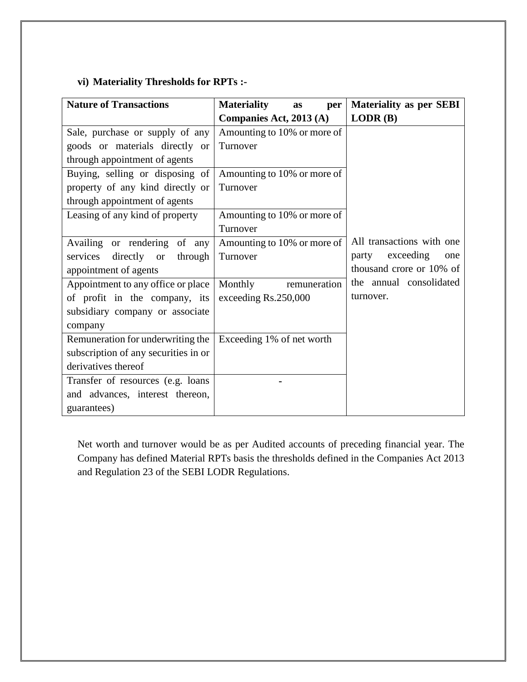# **vi) Materiality Thresholds for RPTs :-**

| <b>Nature of Transactions</b>        | <b>Materiality</b><br>per<br>as | <b>Materiality as per SEBI</b> |
|--------------------------------------|---------------------------------|--------------------------------|
|                                      | Companies Act, 2013 (A)         | LODR(B)                        |
| Sale, purchase or supply of any      | Amounting to 10% or more of     |                                |
| goods or materials directly or       | Turnover                        |                                |
| through appointment of agents        |                                 |                                |
| Buying, selling or disposing of      | Amounting to 10% or more of     |                                |
| property of any kind directly or     | Turnover                        |                                |
| through appointment of agents        |                                 |                                |
| Leasing of any kind of property      | Amounting to 10% or more of     |                                |
|                                      | Turnover                        |                                |
| Availing or rendering of any         | Amounting to 10% or more of     | All transactions with one      |
| services<br>directly or<br>through   | Turnover                        | exceeding<br>party<br>one      |
| appointment of agents                |                                 | thousand crore or 10% of       |
| Appointment to any office or place   | Monthly<br>remuneration         | the annual consolidated        |
| of profit in the company, its        | exceeding Rs.250,000            | turnover.                      |
| subsidiary company or associate      |                                 |                                |
| company                              |                                 |                                |
| Remuneration for underwriting the    | Exceeding 1% of net worth       |                                |
| subscription of any securities in or |                                 |                                |
| derivatives thereof                  |                                 |                                |
| Transfer of resources (e.g. loans    |                                 |                                |
| and advances, interest thereon,      |                                 |                                |
| guarantees)                          |                                 |                                |

Net worth and turnover would be as per Audited accounts of preceding financial year. The Company has defined Material RPTs basis the thresholds defined in the Companies Act 2013 and Regulation 23 of the SEBI LODR Regulations.